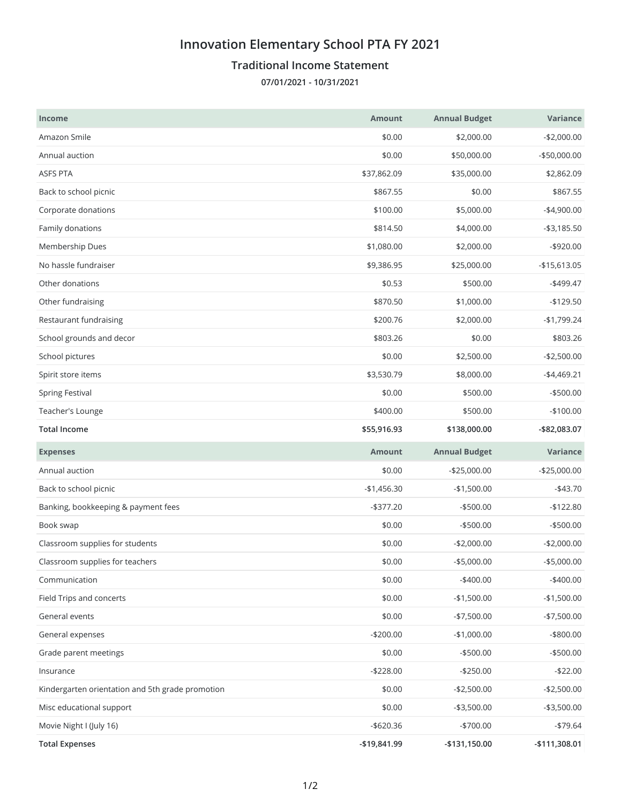## **Innovation Elementary School PTA FY 2021**

## **Traditional Income Statement**

**07/01/2021 - 10/31/2021**

| <b>Income</b>                                    | <b>Amount</b> | <b>Annual Budget</b> | Variance      |
|--------------------------------------------------|---------------|----------------------|---------------|
| Amazon Smile                                     | \$0.00        | \$2,000.00           | $-$2,000.00$  |
| Annual auction                                   | \$0.00        | \$50,000.00          | $-$50,000.00$ |
| ASFS PTA                                         | \$37,862.09   | \$35,000.00          | \$2,862.09    |
| Back to school picnic                            | \$867.55      | \$0.00               | \$867.55      |
| Corporate donations                              | \$100.00      | \$5,000.00           | $-$4,900.00$  |
| Family donations                                 | \$814.50      | \$4,000.00           | $- $3,185.50$ |
| Membership Dues                                  | \$1,080.00    | \$2,000.00           | $-$920.00$    |
| No hassle fundraiser                             | \$9,386.95    | \$25,000.00          | $-$15,613.05$ |
| Other donations                                  | \$0.53        | \$500.00             | $-$499.47$    |
| Other fundraising                                | \$870.50      | \$1,000.00           | $-$129.50$    |
| Restaurant fundraising                           | \$200.76      | \$2,000.00           | $-$1,799.24$  |
| School grounds and decor                         | \$803.26      | \$0.00               | \$803.26      |
| School pictures                                  | \$0.00        | \$2,500.00           | $-$2,500.00$  |
| Spirit store items                               | \$3,530.79    | \$8,000.00           | $-$4,469.21$  |
| <b>Spring Festival</b>                           | \$0.00        | \$500.00             | $-$500.00$    |
| Teacher's Lounge                                 | \$400.00      | \$500.00             | $-$100.00$    |
| <b>Total Income</b>                              | \$55,916.93   | \$138,000.00         | -\$82,083.07  |
|                                                  |               |                      |               |
| <b>Expenses</b>                                  | <b>Amount</b> | <b>Annual Budget</b> | Variance      |
| Annual auction                                   | \$0.00        | $-$25,000.00$        | $-$25,000.00$ |
| Back to school picnic                            | $-$1,456.30$  | $-$1,500.00$         | $-$43.70$     |
| Banking, bookkeeping & payment fees              | $-$ \$377.20  | $- $500.00$          | $-$122.80$    |
| Book swap                                        | \$0.00        | $-$500.00$           | $-$500.00$    |
| Classroom supplies for students                  | \$0.00        | $-$2,000.00$         | $-$2,000.00$  |
| Classroom supplies for teachers                  | \$0.00        | $-$5,000.00$         | $-$5,000.00$  |
| Communication                                    | \$0.00        | $-$400.00$           | $-$400.00$    |
| Field Trips and concerts                         | \$0.00        | $-$1,500.00$         | $-$1,500.00$  |
| General events                                   | \$0.00        | $-$7,500.00$         | $-$7,500.00$  |
| General expenses                                 | $-$200.00$    | $-$1,000.00$         | $-$ \$800.00  |
| Grade parent meetings                            | \$0.00        | -\$500.00            | $-$ \$500.00  |
| Insurance                                        | $-$228.00$    | $-$250.00$           | $-$22.00$     |
| Kindergarten orientation and 5th grade promotion | \$0.00        | $-$2,500.00$         | $-$2,500.00$  |
| Misc educational support                         | \$0.00        | $-$3,500.00$         | $- $3,500.00$ |
| Movie Night I (July 16)                          | $- $620.36$   | -\$700.00            | $-$79.64$     |